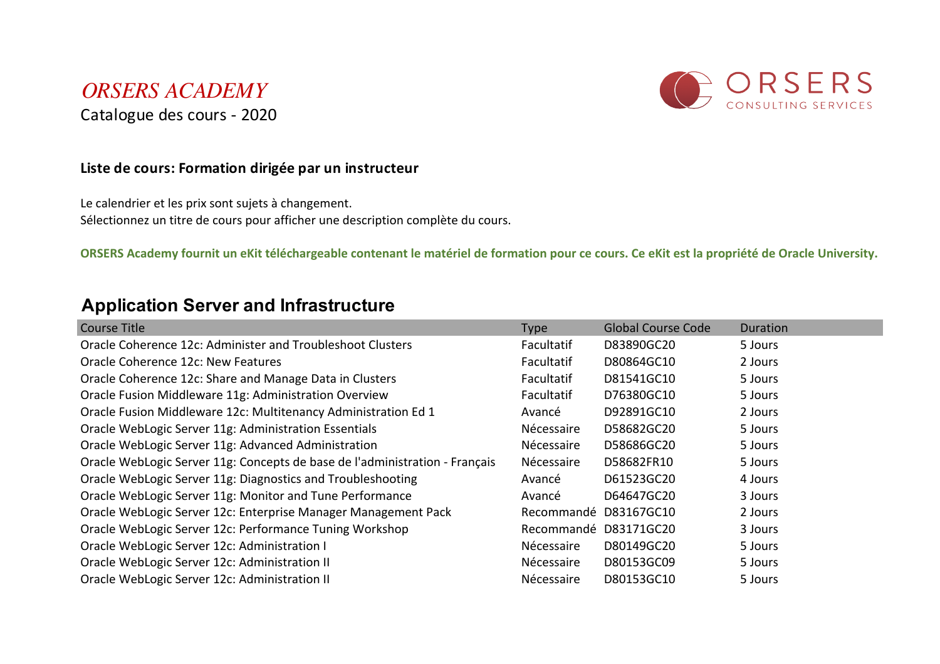#### *ORSERS ACADEMY* Catalogue des cours - 2020



#### **Liste de cours: Formation dirigée par un instructeur**

Le calendrier et les prix sont sujets à changement. Sélectionnez un titre de cours pour afficher une description complète du cours.

**ORSERS Academy fournit un eKit téléchargeable contenant le matériel de formation pour ce cours. Ce eKit est la propriété de Oracle University.**

#### **Application Server and Infrastructure**

| Course Title                                                                | <b>Type</b>       | <b>Global Course Code</b> | Duration |
|-----------------------------------------------------------------------------|-------------------|---------------------------|----------|
| Oracle Coherence 12c: Administer and Troubleshoot Clusters                  | <b>Facultatif</b> | D83890GC20                | 5 Jours  |
| Oracle Coherence 12c: New Features                                          | Facultatif        | D80864GC10                | 2 Jours  |
| Oracle Coherence 12c: Share and Manage Data in Clusters                     | Facultatif        | D81541GC10                | 5 Jours  |
| Oracle Fusion Middleware 11g: Administration Overview                       | Facultatif        | D76380GC10                | 5 Jours  |
| Oracle Fusion Middleware 12c: Multitenancy Administration Ed 1              | Avancé            | D92891GC10                | 2 Jours  |
| Oracle WebLogic Server 11g: Administration Essentials                       | Nécessaire        | D58682GC20                | 5 Jours  |
| Oracle WebLogic Server 11g: Advanced Administration                         | Nécessaire        | D58686GC20                | 5 Jours  |
| Oracle WebLogic Server 11g: Concepts de base de l'administration - Français | Nécessaire        | D58682FR10                | 5 Jours  |
| Oracle WebLogic Server 11g: Diagnostics and Troubleshooting                 | Avancé            | D61523GC20                | 4 Jours  |
| Oracle WebLogic Server 11g: Monitor and Tune Performance                    | Avancé            | D64647GC20                | 3 Jours  |
| Oracle WebLogic Server 12c: Enterprise Manager Management Pack              | Recommandé        | D83167GC10                | 2 Jours  |
| Oracle WebLogic Server 12c: Performance Tuning Workshop                     | Recommandé        | D83171GC20                | 3 Jours  |
| Oracle WebLogic Server 12c: Administration I                                | Nécessaire        | D80149GC20                | 5 Jours  |
| Oracle WebLogic Server 12c: Administration II                               | Nécessaire        | D80153GC09                | 5 Jours  |
| Oracle WebLogic Server 12c: Administration II                               | Nécessaire        | D80153GC10                | 5 Jours  |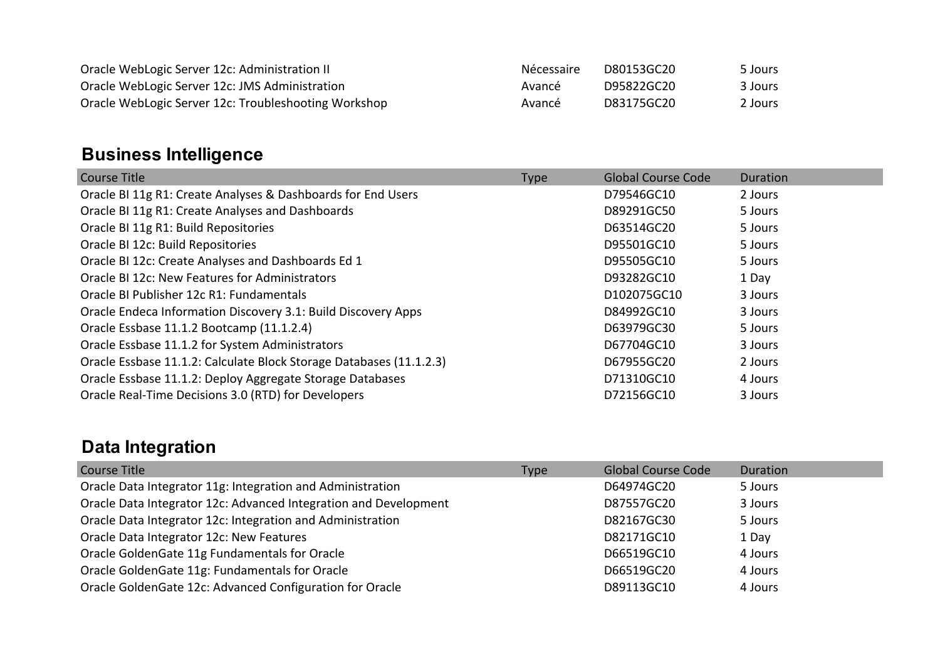| Oracle WebLogic Server 12c: Administration II        | Nécessaire | D80153GC20 | 5 Jours |
|------------------------------------------------------|------------|------------|---------|
| Oracle WebLogic Server 12c: JMS Administration       | Avancé     | D95822GC20 | 3 Jours |
| Oracle WebLogic Server 12c: Troubleshooting Workshop | Avancé     | D83175GC20 | 2 Jours |

## **Business Intelligence**

| Course Title                                                        | <b>Type</b> | <b>Global Course Code</b> | Duration |
|---------------------------------------------------------------------|-------------|---------------------------|----------|
| Oracle BI 11g R1: Create Analyses & Dashboards for End Users        |             | D79546GC10                | 2 Jours  |
| Oracle BI 11g R1: Create Analyses and Dashboards                    |             | D89291GC50                | 5 Jours  |
| Oracle BI 11g R1: Build Repositories                                |             | D63514GC20                | 5 Jours  |
| Oracle BI 12c: Build Repositories                                   |             | D95501GC10                | 5 Jours  |
| Oracle BI 12c: Create Analyses and Dashboards Ed 1                  |             | D95505GC10                | 5 Jours  |
| Oracle BI 12c: New Features for Administrators                      |             | D93282GC10                | 1 Day    |
| Oracle BI Publisher 12c R1: Fundamentals                            |             | D102075GC10               | 3 Jours  |
| Oracle Endeca Information Discovery 3.1: Build Discovery Apps       |             | D84992GC10                | 3 Jours  |
| Oracle Essbase 11.1.2 Bootcamp (11.1.2.4)                           |             | D63979GC30                | 5 Jours  |
| Oracle Essbase 11.1.2 for System Administrators                     |             | D67704GC10                | 3 Jours  |
| Oracle Essbase 11.1.2: Calculate Block Storage Databases (11.1.2.3) |             | D67955GC20                | 2 Jours  |
| Oracle Essbase 11.1.2: Deploy Aggregate Storage Databases           |             | D71310GC10                | 4 Jours  |
| Oracle Real-Time Decisions 3.0 (RTD) for Developers                 |             | D72156GC10                | 3 Jours  |

## **Data Integration**

| Course Title                                                     | <b>Type</b> | <b>Global Course Code</b> | Duration |
|------------------------------------------------------------------|-------------|---------------------------|----------|
| Oracle Data Integrator 11g: Integration and Administration       |             | D64974GC20                | 5 Jours  |
| Oracle Data Integrator 12c: Advanced Integration and Development |             | D87557GC20                | 3 Jours  |
| Oracle Data Integrator 12c: Integration and Administration       |             | D82167GC30                | 5 Jours  |
| Oracle Data Integrator 12c: New Features                         |             | D82171GC10                | 1 Day    |
| Oracle GoldenGate 11g Fundamentals for Oracle                    |             | D66519GC10                | 4 Jours  |
| Oracle GoldenGate 11g: Fundamentals for Oracle                   |             | D66519GC20                | 4 Jours  |
| Oracle GoldenGate 12c: Advanced Configuration for Oracle         |             | D89113GC10                | 4 Jours  |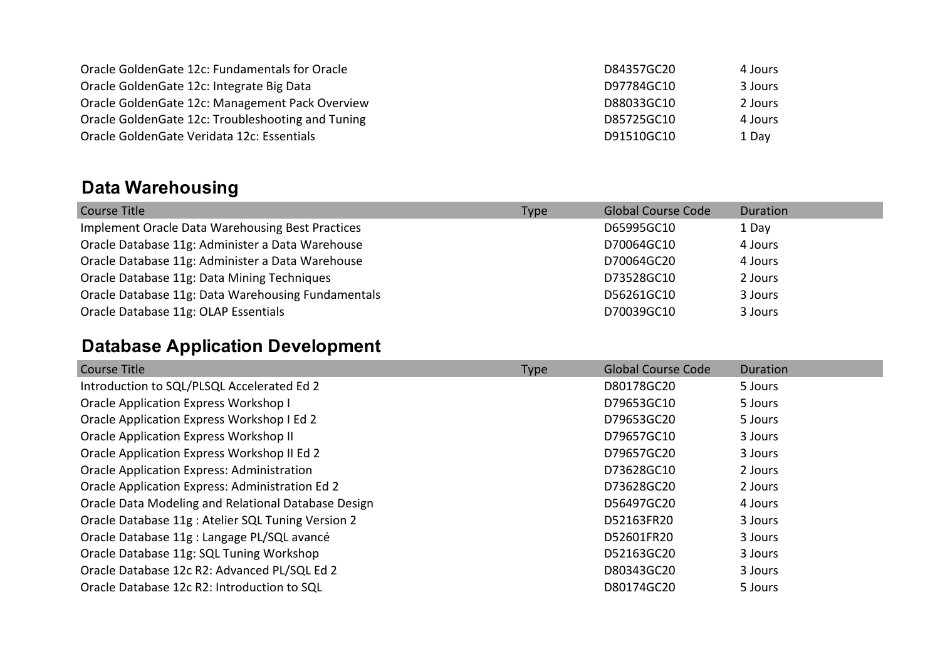| Oracle Golden Gate 12c: Fundamentals for Oracle    | D84357GC20 | 4 Jours |
|----------------------------------------------------|------------|---------|
| Oracle Golden Gate 12c: Integrate Big Data         | D97784GC10 | 3 Jours |
| Oracle Golden Gate 12c: Management Pack Overview   | D88033GC10 | 2 Jours |
| Oracle Golden Gate 12c: Troubleshooting and Tuning | D85725GC10 | 4 Jours |
| Oracle GoldenGate Veridata 12c: Essentials         | D91510GC10 | 1 Day   |

## **Data Warehousing**

| Course Title                                       | <b>Type</b> | <b>Global Course Code</b> | Duration |
|----------------------------------------------------|-------------|---------------------------|----------|
| Implement Oracle Data Warehousing Best Practices   |             | D65995GC10                | 1 Day    |
| Oracle Database 11g: Administer a Data Warehouse   |             | D70064GC10                | 4 Jours  |
| Oracle Database 11g: Administer a Data Warehouse   |             | D70064GC20                | 4 Jours  |
| Oracle Database 11g: Data Mining Techniques        |             | D73528GC10                | 2 Jours  |
| Oracle Database 11g: Data Warehousing Fundamentals |             | D56261GC10                | 3 Jours  |
| Oracle Database 11g: OLAP Essentials               |             | D70039GC10                | 3 Jours  |

## **Database Application Development**

| <b>Course Title</b>                                 | <b>Type</b> | <b>Global Course Code</b> | Duration |
|-----------------------------------------------------|-------------|---------------------------|----------|
| Introduction to SQL/PLSQL Accelerated Ed 2          |             | D80178GC20                | 5 Jours  |
| Oracle Application Express Workshop I               |             | D79653GC10                | 5 Jours  |
| Oracle Application Express Workshop I Ed 2          |             | D79653GC20                | 5 Jours  |
| <b>Oracle Application Express Workshop II</b>       |             | D79657GC10                | 3 Jours  |
| Oracle Application Express Workshop II Ed 2         |             | D79657GC20                | 3 Jours  |
| <b>Oracle Application Express: Administration</b>   |             | D73628GC10                | 2 Jours  |
| Oracle Application Express: Administration Ed 2     |             | D73628GC20                | 2 Jours  |
| Oracle Data Modeling and Relational Database Design |             | D56497GC20                | 4 Jours  |
| Oracle Database 11g : Atelier SQL Tuning Version 2  |             | D52163FR20                | 3 Jours  |
| Oracle Database 11g : Langage PL/SQL avancé         |             | D52601FR20                | 3 Jours  |
| Oracle Database 11g: SQL Tuning Workshop            |             | D52163GC20                | 3 Jours  |
| Oracle Database 12c R2: Advanced PL/SQL Ed 2        |             | D80343GC20                | 3 Jours  |
| Oracle Database 12c R2: Introduction to SQL         |             | D80174GC20                | 5 Jours  |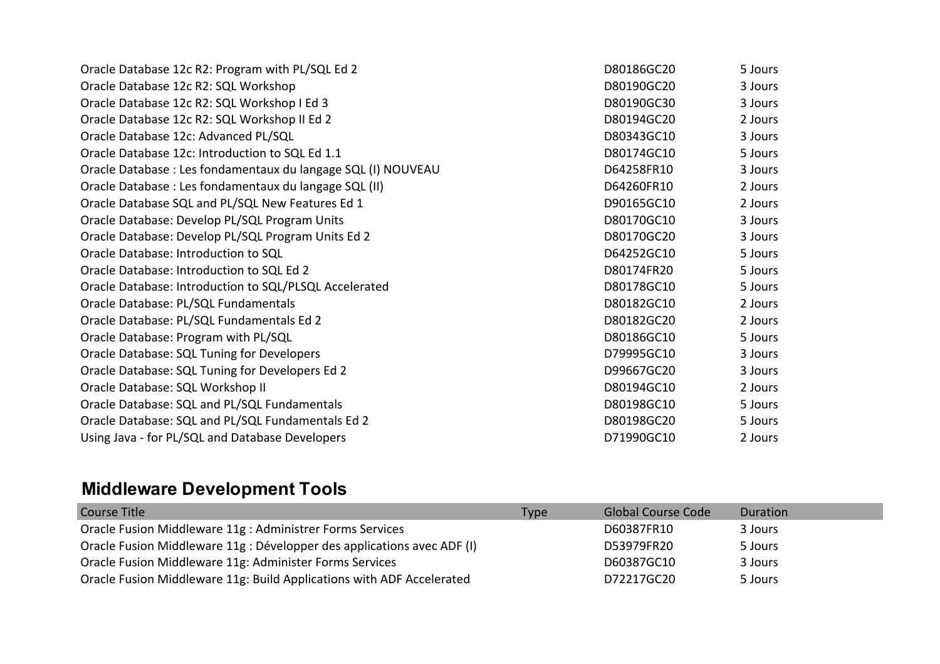| Oracle Database 12c R2: Program with PL/SQL Ed 2              | D80186GC20 | 5 Jours |
|---------------------------------------------------------------|------------|---------|
| Oracle Database 12c R2: SQL Workshop                          | D80190GC20 | 3 Jours |
| Oracle Database 12c R2: SQL Workshop I Ed 3                   | D80190GC30 | 3 Jours |
| Oracle Database 12c R2: SQL Workshop II Ed 2                  | D80194GC20 | 2 Jours |
| Oracle Database 12c: Advanced PL/SQL                          | D80343GC10 | 3 Jours |
| Oracle Database 12c: Introduction to SQL Ed 1.1               | D80174GC10 | 5 Jours |
| Oracle Database : Les fondamentaux du langage SQL (I) NOUVEAU | D64258FR10 | 3 Jours |
| Oracle Database : Les fondamentaux du langage SQL (II)        | D64260FR10 | 2 Jours |
| Oracle Database SQL and PL/SQL New Features Ed 1              | D90165GC10 | 2 Jours |
| Oracle Database: Develop PL/SQL Program Units                 | D80170GC10 | 3 Jours |
| Oracle Database: Develop PL/SQL Program Units Ed 2            | D80170GC20 | 3 Jours |
| Oracle Database: Introduction to SQL                          | D64252GC10 | 5 Jours |
| Oracle Database: Introduction to SQL Ed 2                     | D80174FR20 | 5 Jours |
| Oracle Database: Introduction to SQL/PLSQL Accelerated        | D80178GC10 | 5 Jours |
| Oracle Database: PL/SQL Fundamentals                          | D80182GC10 | 2 Jours |
| Oracle Database: PL/SQL Fundamentals Ed 2                     | D80182GC20 | 2 Jours |
| Oracle Database: Program with PL/SQL                          | D80186GC10 | 5 Jours |
| Oracle Database: SQL Tuning for Developers                    | D79995GC10 | 3 Jours |
| Oracle Database: SQL Tuning for Developers Ed 2               | D99667GC20 | 3 Jours |
| Oracle Database: SQL Workshop II                              | D80194GC10 | 2 Jours |
| Oracle Database: SQL and PL/SQL Fundamentals                  | D80198GC10 | 5 Jours |
| Oracle Database: SQL and PL/SQL Fundamentals Ed 2             | D80198GC20 | 5 Jours |
| Using Java - for PL/SQL and Database Developers               | D71990GC10 | 2 Jours |

# **Middleware Development Tools**

| Course Title                                                            | Type | Global Course Code | Duration |
|-------------------------------------------------------------------------|------|--------------------|----------|
| Oracle Fusion Middleware 11g : Administrer Forms Services               |      | D60387FR10         | 3 Jours  |
| Oracle Fusion Middleware 11g : Développer des applications avec ADF (I) |      | D53979FR20         | 5 Jours  |
| Oracle Fusion Middleware 11g: Administer Forms Services                 |      | D60387GC10         | 3 Jours  |
| Oracle Fusion Middleware 11g: Build Applications with ADF Accelerated   |      | D72217GC20         | 5 Jours  |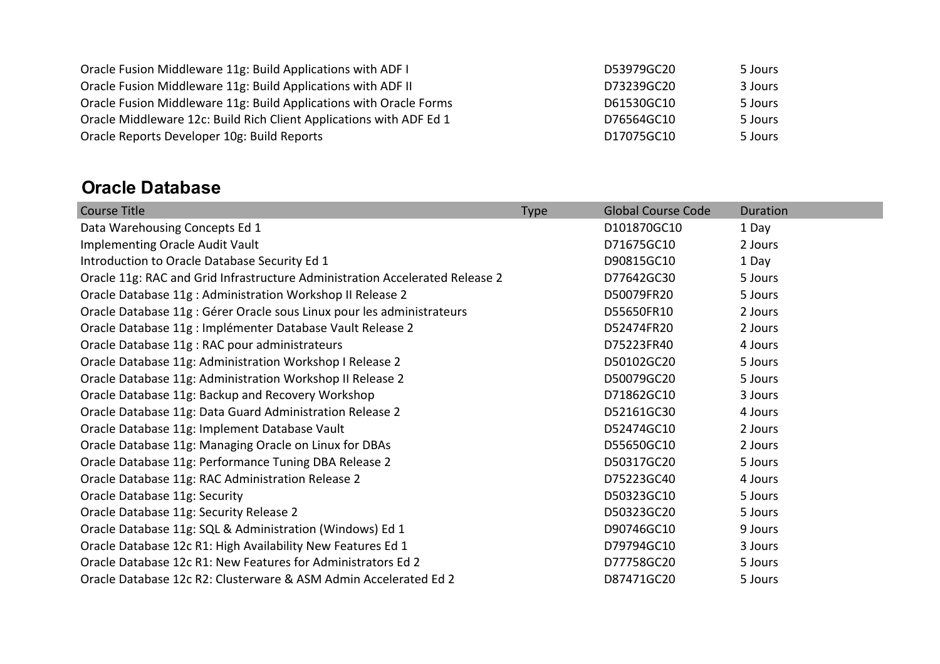| Oracle Fusion Middleware 11g: Build Applications with ADF I         | D53979GC20 | 5 Jours |
|---------------------------------------------------------------------|------------|---------|
| Oracle Fusion Middleware 11g: Build Applications with ADF II        | D73239GC20 | 3 Jours |
| Oracle Fusion Middleware 11g: Build Applications with Oracle Forms  | D61530GC10 | 5 Jours |
| Oracle Middleware 12c: Build Rich Client Applications with ADF Ed 1 | D76564GC10 | 5 Jours |
| Oracle Reports Developer 10g: Build Reports                         | D17075GC10 | 5 Jours |

#### **Oracle Database**

| <b>Course Title</b>                                                          | Type | <b>Global Course Code</b> | Duration |
|------------------------------------------------------------------------------|------|---------------------------|----------|
| Data Warehousing Concepts Ed 1                                               |      | D101870GC10               | 1 Day    |
| <b>Implementing Oracle Audit Vault</b>                                       |      | D71675GC10                | 2 Jours  |
| Introduction to Oracle Database Security Ed 1                                |      | D90815GC10                | 1 Day    |
| Oracle 11g: RAC and Grid Infrastructure Administration Accelerated Release 2 |      | D77642GC30                | 5 Jours  |
| Oracle Database 11g : Administration Workshop II Release 2                   |      | D50079FR20                | 5 Jours  |
| Oracle Database 11g : Gérer Oracle sous Linux pour les administrateurs       |      | D55650FR10                | 2 Jours  |
| Oracle Database 11g : Implémenter Database Vault Release 2                   |      | D52474FR20                | 2 Jours  |
| Oracle Database 11g : RAC pour administrateurs                               |      | D75223FR40                | 4 Jours  |
| Oracle Database 11g: Administration Workshop I Release 2                     |      | D50102GC20                | 5 Jours  |
| Oracle Database 11g: Administration Workshop II Release 2                    |      | D50079GC20                | 5 Jours  |
| Oracle Database 11g: Backup and Recovery Workshop                            |      | D71862GC10                | 3 Jours  |
| Oracle Database 11g: Data Guard Administration Release 2                     |      | D52161GC30                | 4 Jours  |
| Oracle Database 11g: Implement Database Vault                                |      | D52474GC10                | 2 Jours  |
| Oracle Database 11g: Managing Oracle on Linux for DBAs                       |      | D55650GC10                | 2 Jours  |
| Oracle Database 11g: Performance Tuning DBA Release 2                        |      | D50317GC20                | 5 Jours  |
| Oracle Database 11g: RAC Administration Release 2                            |      | D75223GC40                | 4 Jours  |
| Oracle Database 11g: Security                                                |      | D50323GC10                | 5 Jours  |
| Oracle Database 11g: Security Release 2                                      |      | D50323GC20                | 5 Jours  |
| Oracle Database 11g: SQL & Administration (Windows) Ed 1                     |      | D90746GC10                | 9 Jours  |
| Oracle Database 12c R1: High Availability New Features Ed 1                  |      | D79794GC10                | 3 Jours  |
| Oracle Database 12c R1: New Features for Administrators Ed 2                 |      | D77758GC20                | 5 Jours  |
| Oracle Database 12c R2: Clusterware & ASM Admin Accelerated Ed 2             |      | D87471GC20                | 5 Jours  |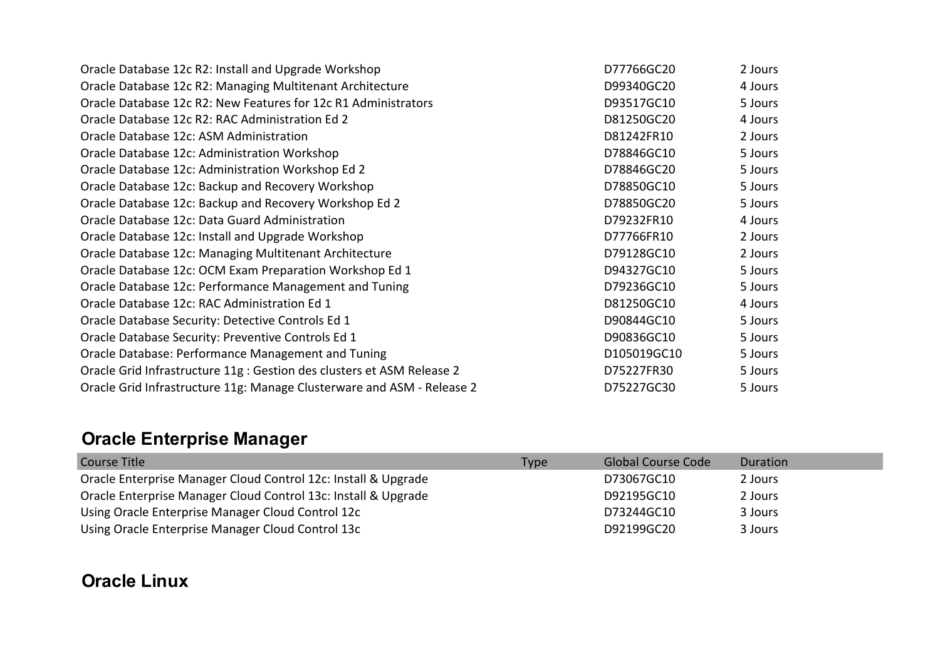| Oracle Database 12c R2: Install and Upgrade Workshop                   | D77766GC20  | 2 Jours |
|------------------------------------------------------------------------|-------------|---------|
| Oracle Database 12c R2: Managing Multitenant Architecture              | D99340GC20  | 4 Jours |
| Oracle Database 12c R2: New Features for 12c R1 Administrators         | D93517GC10  | 5 Jours |
| Oracle Database 12c R2: RAC Administration Ed 2                        | D81250GC20  | 4 Jours |
| Oracle Database 12c: ASM Administration                                | D81242FR10  | 2 Jours |
| Oracle Database 12c: Administration Workshop                           | D78846GC10  | 5 Jours |
| Oracle Database 12c: Administration Workshop Ed 2                      | D78846GC20  | 5 Jours |
| Oracle Database 12c: Backup and Recovery Workshop                      | D78850GC10  | 5 Jours |
| Oracle Database 12c: Backup and Recovery Workshop Ed 2                 | D78850GC20  | 5 Jours |
| Oracle Database 12c: Data Guard Administration                         | D79232FR10  | 4 Jours |
| Oracle Database 12c: Install and Upgrade Workshop                      | D77766FR10  | 2 Jours |
| Oracle Database 12c: Managing Multitenant Architecture                 | D79128GC10  | 2 Jours |
| Oracle Database 12c: OCM Exam Preparation Workshop Ed 1                | D94327GC10  | 5 Jours |
| Oracle Database 12c: Performance Management and Tuning                 | D79236GC10  | 5 Jours |
| Oracle Database 12c: RAC Administration Ed 1                           | D81250GC10  | 4 Jours |
| Oracle Database Security: Detective Controls Ed 1                      | D90844GC10  | 5 Jours |
| Oracle Database Security: Preventive Controls Ed 1                     | D90836GC10  | 5 Jours |
| Oracle Database: Performance Management and Tuning                     | D105019GC10 | 5 Jours |
| Oracle Grid Infrastructure 11g : Gestion des clusters et ASM Release 2 | D75227FR30  | 5 Jours |
| Oracle Grid Infrastructure 11g: Manage Clusterware and ASM - Release 2 | D75227GC30  | 5 Jours |

# **Oracle Enterprise Manager**

| <b>Course Title</b>                                            | <b>Type</b> | <b>Global Course Code</b> | Duration |
|----------------------------------------------------------------|-------------|---------------------------|----------|
| Oracle Enterprise Manager Cloud Control 12c: Install & Upgrade |             | D73067GC10                | 2 Jours  |
| Oracle Enterprise Manager Cloud Control 13c: Install & Upgrade |             | D92195GC10                | 2 Jours  |
| Using Oracle Enterprise Manager Cloud Control 12c              |             | D73244GC10                | 3 Jours  |
| Using Oracle Enterprise Manager Cloud Control 13c              |             | D92199GC20                | 3 Jours  |

#### **Oracle Linux**